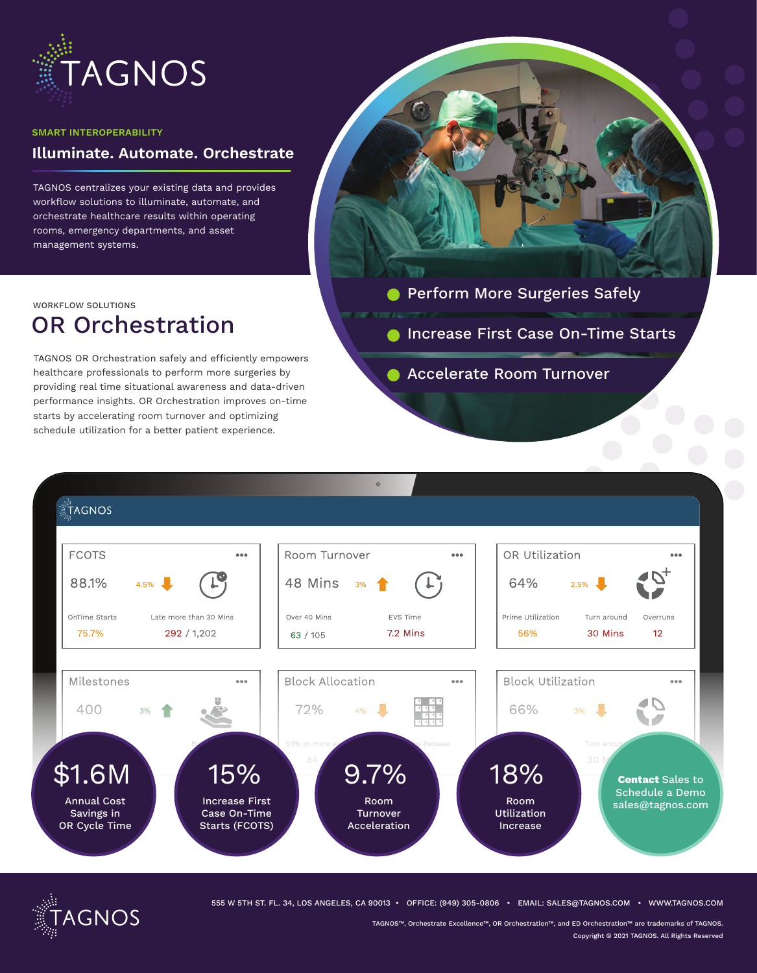

#### **SMART INTEROPERABILITY**

# **Illuminate. Automate. Orchestrate**

TAGNOS centralizes your existing data and provides workflow solutions to illuminate, automate, and orchestrate healthcare results within operating rooms, emergency departments, and asset management systems.

WORKFLOW SOLUTIONS

# OR Orchestration

TAGNOS OR Orchestration safely and efficiently empowers healthcare professionals to perform more surgeries by providing real time situational awareness and data-driven performance insights. OR Orchestration improves on-time starts by accelerating room turnover and optimizing schedule utilization for a better patient experience.

- **Perform More Surgeries Safely**
- **Increase First Case On-Time Starts**
- **Accelerate Room Turnover**





555 W 5TH ST. FL. 34, LOS ANGELES, CA 90013 • OFFICE: (949) 305-0806 • EMAIL: SALES@TAGNOS.COM • WWW.TAGNOS.COM

TAGNOS™, Orchestrate Excellence™, OR Orchestration™, and ED Orchestration™ are trademarks of TAGNOS. Copyright © 2021 TAGNOS. All Rights Reserved